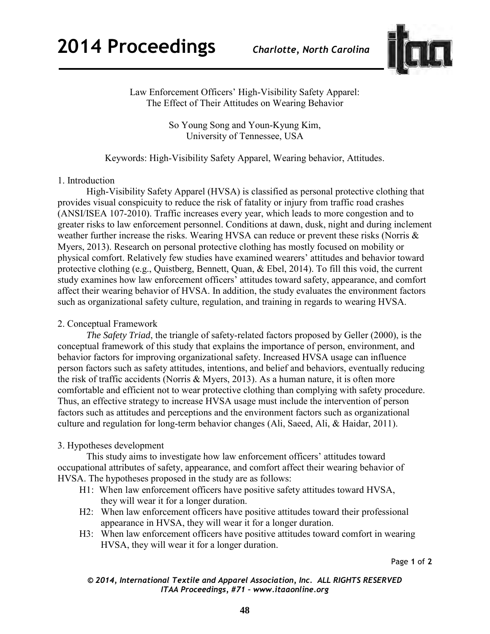

Law Enforcement Officers' High-Visibility Safety Apparel: The Effect of Their Attitudes on Wearing Behavior

> So Young Song and Youn-Kyung Kim, University of Tennessee, USA

# Keywords: High-Visibility Safety Apparel, Wearing behavior, Attitudes.

### 1. Introduction

High-Visibility Safety Apparel (HVSA) is classified as personal protective clothing that provides visual conspicuity to reduce the risk of fatality or injury from traffic road crashes (ANSI/ISEA 107-2010). Traffic increases every year, which leads to more congestion and to greater risks to law enforcement personnel. Conditions at dawn, dusk, night and during inclement weather further increase the risks. Wearing HVSA can reduce or prevent these risks (Norris & Myers, 2013). Research on personal protective clothing has mostly focused on mobility or physical comfort. Relatively few studies have examined wearers' attitudes and behavior toward protective clothing (e.g., Quistberg, Bennett, Quan, & Ebel, 2014). To fill this void, the current study examines how law enforcement officers' attitudes toward safety, appearance, and comfort affect their wearing behavior of HVSA. In addition, the study evaluates the environment factors such as organizational safety culture, regulation, and training in regards to wearing HVSA.

## 2. Conceptual Framework

*The Safety Triad*, the triangle of safety-related factors proposed by Geller (2000), is the conceptual framework of this study that explains the importance of person, environment, and behavior factors for improving organizational safety. Increased HVSA usage can influence person factors such as safety attitudes, intentions, and belief and behaviors, eventually reducing the risk of traffic accidents (Norris & Myers, 2013). As a human nature, it is often more comfortable and efficient not to wear protective clothing than complying with safety procedure. Thus, an effective strategy to increase HVSA usage must include the intervention of person factors such as attitudes and perceptions and the environment factors such as organizational culture and regulation for long-term behavior changes (Ali, Saeed, Ali, & Haidar, 2011).

## 3. Hypotheses development

This study aims to investigate how law enforcement officers' attitudes toward occupational attributes of safety, appearance, and comfort affect their wearing behavior of HVSA. The hypotheses proposed in the study are as follows:

- H1: When law enforcement officers have positive safety attitudes toward HVSA, they will wear it for a longer duration.
- H2: When law enforcement officers have positive attitudes toward their professional appearance in HVSA, they will wear it for a longer duration.
- H3: When law enforcement officers have positive attitudes toward comfort in wearing HVSA, they will wear it for a longer duration.

Page **1** of **2** 

*© 2014, International Textile and Apparel Association, Inc. ALL RIGHTS RESERVED ITAA Proceedings, #71 – www.itaaonline.org*